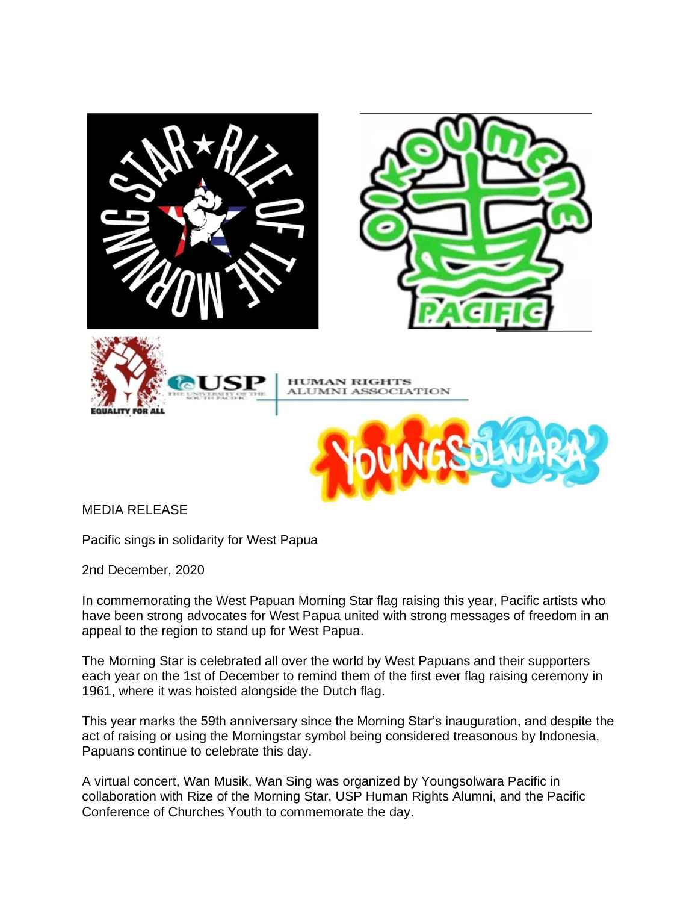

MEDIA RELEASE

Pacific sings in solidarity for West Papua

2nd December, 2020

In commemorating the West Papuan Morning Star flag raising this year, Pacific artists who have been strong advocates for West Papua united with strong messages of freedom in an appeal to the region to stand up for West Papua.

The Morning Star is celebrated all over the world by West Papuans and their supporters each year on the 1st of December to remind them of the first ever flag raising ceremony in 1961, where it was hoisted alongside the Dutch flag.

This year marks the 59th anniversary since the Morning Star's inauguration, and despite the act of raising or using the Morningstar symbol being considered treasonous by Indonesia, Papuans continue to celebrate this day.

A virtual concert, Wan Musik, Wan Sing was organized by Youngsolwara Pacific in collaboration with Rize of the Morning Star, USP Human Rights Alumni, and the Pacific Conference of Churches Youth to commemorate the day.